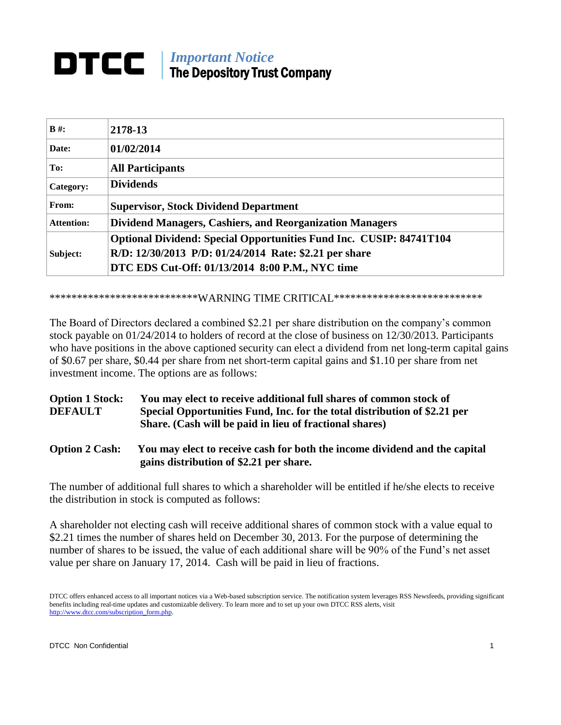# *Important Notice* The Depository Trust Company

| $B#$ :            | 2178-13                                                                    |
|-------------------|----------------------------------------------------------------------------|
| Date:             | 01/02/2014                                                                 |
| To:               | <b>All Participants</b>                                                    |
| Category:         | <b>Dividends</b>                                                           |
| From:             | <b>Supervisor, Stock Dividend Department</b>                               |
| <b>Attention:</b> | <b>Dividend Managers, Cashiers, and Reorganization Managers</b>            |
| Subject:          | <b>Optional Dividend: Special Opportunities Fund Inc. CUSIP: 84741T104</b> |
|                   | R/D: 12/30/2013 P/D: 01/24/2014 Rate: \$2.21 per share                     |
|                   | DTC EDS Cut-Off: 01/13/2014 8:00 P.M., NYC time                            |

#### \*\*\*\*\*\*\*\*\*\*\*\*\*\*\*\*\*\*\*\*\*\*\*\*\*\*\*\*WARNING TIME CRITICAL\*\*\*\*\*\*\*\*\*\*\*\*\*\*\*\*\*\*\*\*\*\*\*\*\*\*\*\*

The Board of Directors declared a combined \$2.21 per share distribution on the company's common stock payable on 01/24/2014 to holders of record at the close of business on 12/30/2013. Participants who have positions in the above captioned security can elect a dividend from net long-term capital gains of \$0.67 per share, \$0.44 per share from net short-term capital gains and \$1.10 per share from net investment income. The options are as follows:

## **Option 1 Stock: You may elect to receive additional full shares of common stock of DEFAULT Special Opportunities Fund, Inc. for the total distribution of \$2.21 per Share. (Cash will be paid in lieu of fractional shares)**

### **Option 2 Cash: You may elect to receive cash for both the income dividend and the capital gains distribution of \$2.21 per share.**

The number of additional full shares to which a shareholder will be entitled if he/she elects to receive the distribution in stock is computed as follows:

A shareholder not electing cash will receive additional shares of common stock with a value equal to \$2.21 times the number of shares held on December 30, 2013. For the purpose of determining the number of shares to be issued, the value of each additional share will be 90% of the Fund's net asset value per share on January 17, 2014. Cash will be paid in lieu of fractions.

DTCC offers enhanced access to all important notices via a Web-based subscription service. The notification system leverages RSS Newsfeeds, providing significant benefits including real-time updates and customizable delivery. To learn more and to set up your own DTCC RSS alerts, visit http://www.dtcc.com/subscription\_form.php.